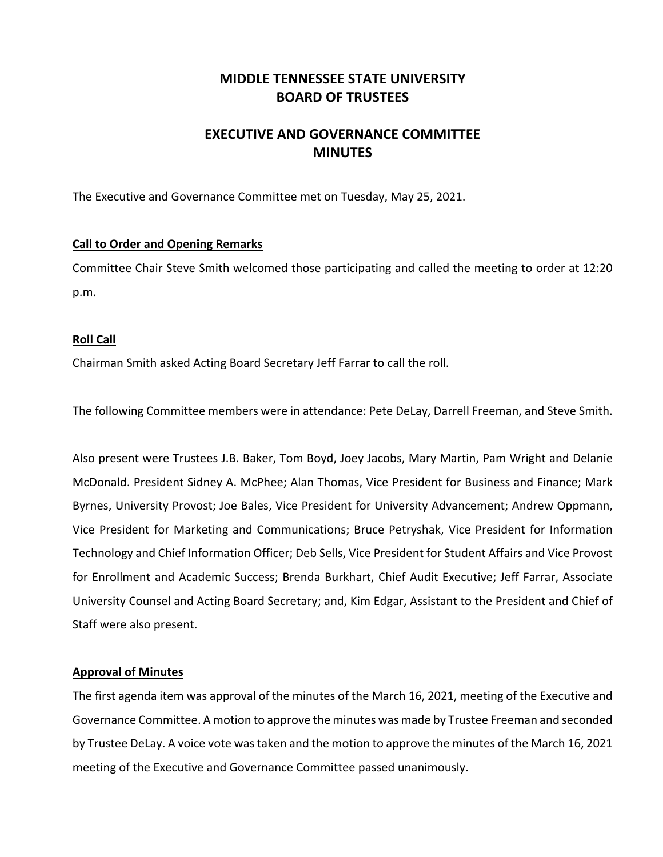## **MIDDLE TENNESSEE STATE UNIVERSITY BOARD OF TRUSTEES**

# **EXECUTIVE AND GOVERNANCE COMMITTEE MINUTES**

The Executive and Governance Committee met on Tuesday, May 25, 2021.

## **Call to Order and Opening Remarks**

Committee Chair Steve Smith welcomed those participating and called the meeting to order at 12:20 p.m.

### **Roll Call**

Chairman Smith asked Acting Board Secretary Jeff Farrar to call the roll.

The following Committee members were in attendance: Pete DeLay, Darrell Freeman, and Steve Smith.

Also present were Trustees J.B. Baker, Tom Boyd, Joey Jacobs, Mary Martin, Pam Wright and Delanie McDonald. President Sidney A. McPhee; Alan Thomas, Vice President for Business and Finance; Mark Byrnes, University Provost; Joe Bales, Vice President for University Advancement; Andrew Oppmann, Vice President for Marketing and Communications; Bruce Petryshak, Vice President for Information Technology and Chief Information Officer; Deb Sells, Vice President for Student Affairs and Vice Provost for Enrollment and Academic Success; Brenda Burkhart, Chief Audit Executive; Jeff Farrar, Associate University Counsel and Acting Board Secretary; and, Kim Edgar, Assistant to the President and Chief of Staff were also present.

### **Approval of Minutes**

The first agenda item was approval of the minutes of the March 16, 2021, meeting of the Executive and Governance Committee. A motion to approve the minutes was made by Trustee Freeman and seconded by Trustee DeLay. A voice vote was taken and the motion to approve the minutes of the March 16, 2021 meeting of the Executive and Governance Committee passed unanimously.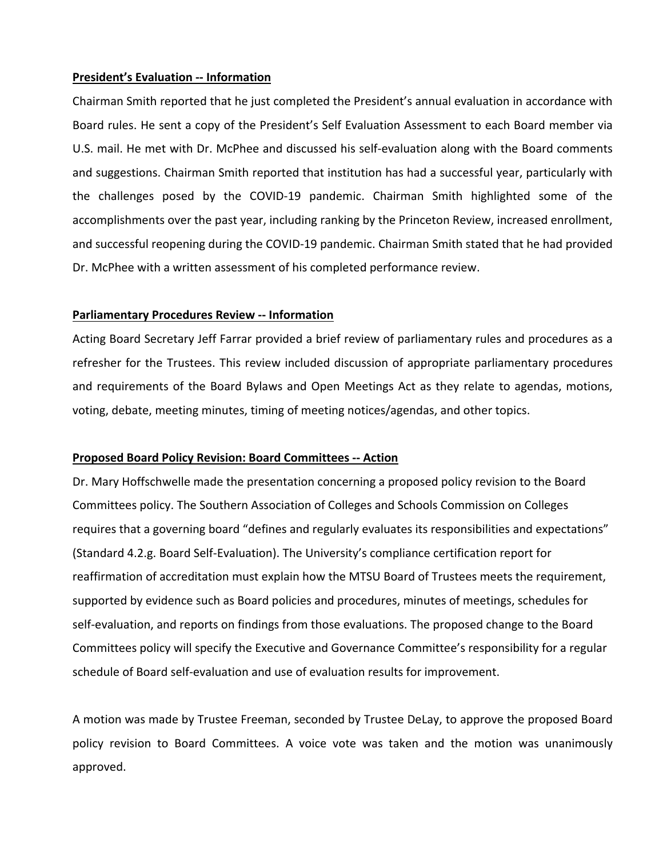#### **President's Evaluation ‐‐ Information**

Chairman Smith reported that he just completed the President's annual evaluation in accordance with Board rules. He sent a copy of the President's Self Evaluation Assessment to each Board member via U.S. mail. He met with Dr. McPhee and discussed his self‐evaluation along with the Board comments and suggestions. Chairman Smith reported that institution has had a successful year, particularly with the challenges posed by the COVID‐19 pandemic. Chairman Smith highlighted some of the accomplishments over the past year, including ranking by the Princeton Review, increased enrollment, and successful reopening during the COVID‐19 pandemic. Chairman Smith stated that he had provided Dr. McPhee with a written assessment of his completed performance review.

### **Parliamentary Procedures Review ‐‐ Information**

Acting Board Secretary Jeff Farrar provided a brief review of parliamentary rules and procedures as a refresher for the Trustees. This review included discussion of appropriate parliamentary procedures and requirements of the Board Bylaws and Open Meetings Act as they relate to agendas, motions, voting, debate, meeting minutes, timing of meeting notices/agendas, and other topics.

### **Proposed Board Policy Revision: Board Committees ‐‐ Action**

Dr. Mary Hoffschwelle made the presentation concerning a proposed policy revision to the Board Committees policy. The Southern Association of Colleges and Schools Commission on Colleges requires that a governing board "defines and regularly evaluates its responsibilities and expectations" (Standard 4.2.g. Board Self‐Evaluation). The University's compliance certification report for reaffirmation of accreditation must explain how the MTSU Board of Trustees meets the requirement, supported by evidence such as Board policies and procedures, minutes of meetings, schedules for self-evaluation, and reports on findings from those evaluations. The proposed change to the Board Committees policy will specify the Executive and Governance Committee's responsibility for a regular schedule of Board self‐evaluation and use of evaluation results for improvement.

A motion was made by Trustee Freeman, seconded by Trustee DeLay, to approve the proposed Board policy revision to Board Committees. A voice vote was taken and the motion was unanimously approved.